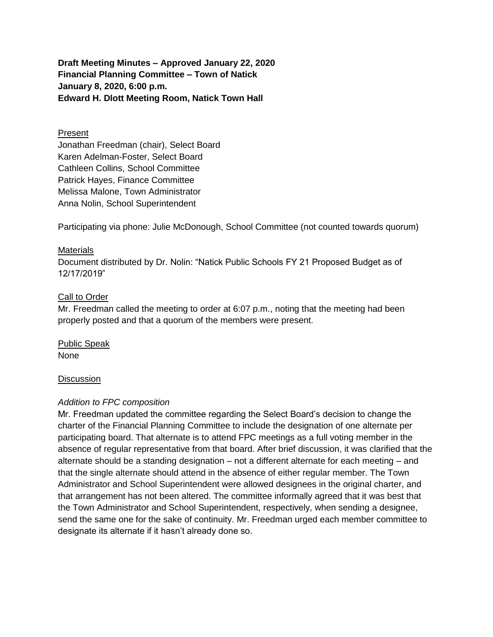**Draft Meeting Minutes – Approved January 22, 2020 Financial Planning Committee – Town of Natick January 8, 2020, 6:00 p.m. Edward H. Dlott Meeting Room, Natick Town Hall**

## Present

Jonathan Freedman (chair), Select Board Karen Adelman-Foster, Select Board Cathleen Collins, School Committee Patrick Hayes, Finance Committee Melissa Malone, Town Administrator Anna Nolin, School Superintendent

Participating via phone: Julie McDonough, School Committee (not counted towards quorum)

### **Materials**

Document distributed by Dr. Nolin: "Natick Public Schools FY 21 Proposed Budget as of 12/17/2019"

## Call to Order

Mr. Freedman called the meeting to order at 6:07 p.m., noting that the meeting had been properly posted and that a quorum of the members were present.

Public Speak None

#### **Discussion**

# *Addition to FPC composition*

Mr. Freedman updated the committee regarding the Select Board's decision to change the charter of the Financial Planning Committee to include the designation of one alternate per participating board. That alternate is to attend FPC meetings as a full voting member in the absence of regular representative from that board. After brief discussion, it was clarified that the alternate should be a standing designation – not a different alternate for each meeting – and that the single alternate should attend in the absence of either regular member. The Town Administrator and School Superintendent were allowed designees in the original charter, and that arrangement has not been altered. The committee informally agreed that it was best that the Town Administrator and School Superintendent, respectively, when sending a designee, send the same one for the sake of continuity. Mr. Freedman urged each member committee to designate its alternate if it hasn't already done so.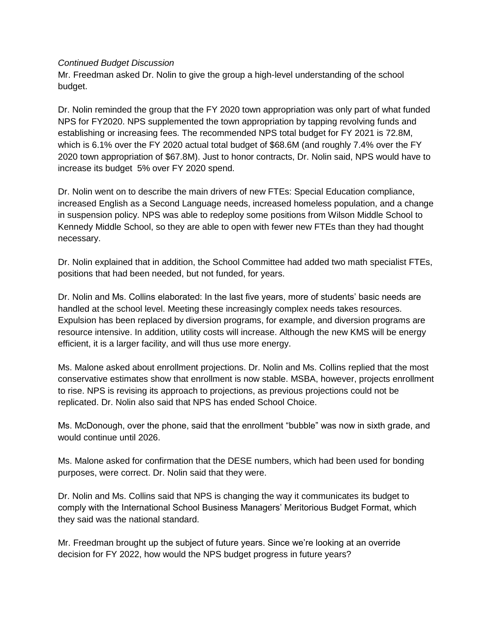## *Continued Budget Discussion*

Mr. Freedman asked Dr. Nolin to give the group a high-level understanding of the school budget.

Dr. Nolin reminded the group that the FY 2020 town appropriation was only part of what funded NPS for FY2020. NPS supplemented the town appropriation by tapping revolving funds and establishing or increasing fees. The recommended NPS total budget for FY 2021 is 72.8M, which is 6.1% over the FY 2020 actual total budget of \$68.6M (and roughly 7.4% over the FY 2020 town appropriation of \$67.8M). Just to honor contracts, Dr. Nolin said, NPS would have to increase its budget 5% over FY 2020 spend.

Dr. Nolin went on to describe the main drivers of new FTEs: Special Education compliance, increased English as a Second Language needs, increased homeless population, and a change in suspension policy. NPS was able to redeploy some positions from Wilson Middle School to Kennedy Middle School, so they are able to open with fewer new FTEs than they had thought necessary.

Dr. Nolin explained that in addition, the School Committee had added two math specialist FTEs, positions that had been needed, but not funded, for years.

Dr. Nolin and Ms. Collins elaborated: In the last five years, more of students' basic needs are handled at the school level. Meeting these increasingly complex needs takes resources. Expulsion has been replaced by diversion programs, for example, and diversion programs are resource intensive. In addition, utility costs will increase. Although the new KMS will be energy efficient, it is a larger facility, and will thus use more energy.

Ms. Malone asked about enrollment projections. Dr. Nolin and Ms. Collins replied that the most conservative estimates show that enrollment is now stable. MSBA, however, projects enrollment to rise. NPS is revising its approach to projections, as previous projections could not be replicated. Dr. Nolin also said that NPS has ended School Choice.

Ms. McDonough, over the phone, said that the enrollment "bubble" was now in sixth grade, and would continue until 2026.

Ms. Malone asked for confirmation that the DESE numbers, which had been used for bonding purposes, were correct. Dr. Nolin said that they were.

Dr. Nolin and Ms. Collins said that NPS is changing the way it communicates its budget to comply with the International School Business Managers' Meritorious Budget Format, which they said was the national standard.

Mr. Freedman brought up the subject of future years. Since we're looking at an override decision for FY 2022, how would the NPS budget progress in future years?